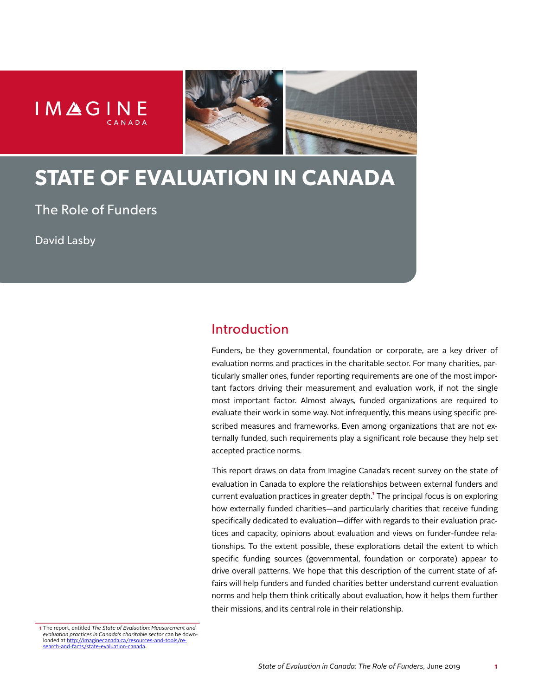



# **STATE OF EVALUATION IN CANADA**

The Role of Funders

David Lasby

# Introduction

Funders, be they governmental, foundation or corporate, are a key driver of evaluation norms and practices in the charitable sector. For many charities, particularly smaller ones, funder reporting requirements are one of the most important factors driving their measurement and evaluation work, if not the single most important factor. Almost always, funded organizations are required to evaluate their work in some way. Not infrequently, this means using specific prescribed measures and frameworks. Even among organizations that are not externally funded, such requirements play a significant role because they help set accepted practice norms.

This report draws on data from Imagine Canada's recent survey on the state of evaluation in Canada to explore the relationships between external funders and current evaluation practices in greater depth.**¹** The principal focus is on exploring how externally funded charities—and particularly charities that receive funding specifically dedicated to evaluation—differ with regards to their evaluation practices and capacity, opinions about evaluation and views on funder-fundee relationships. To the extent possible, these explorations detail the extent to which specific funding sources (governmental, foundation or corporate) appear to drive overall patterns. We hope that this description of the current state of affairs will help funders and funded charities better understand current evaluation norms and help them think critically about evaluation, how it helps them further their missions, and its central role in their relationship.

**<sup>1</sup>** The report, entitled *The State of Evaluation: Measurement and evaluation practices in Canada's charitable sector* can be downloaded at http://imagine [search-and-facts/state-evaluation-canada.](http://imaginecanada.ca/resources-and-tools/research-and-facts/state-evaluation-canada)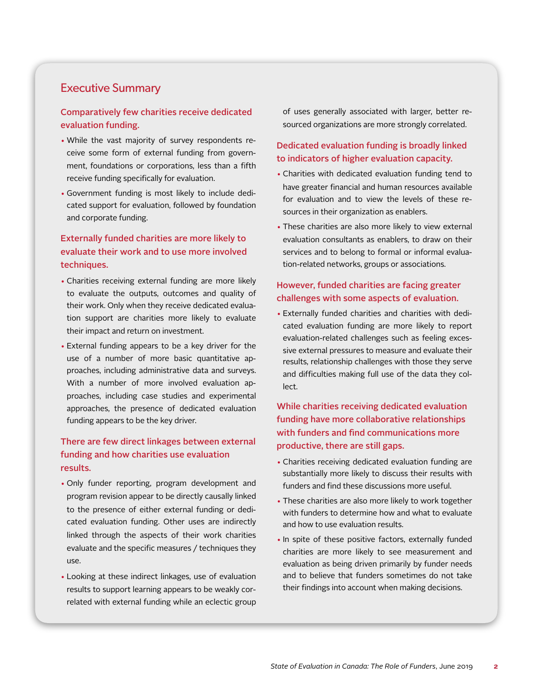# Executive Summary

### Comparatively few charities receive dedicated evaluation funding.

- While the vast majority of survey respondents receive some form of external funding from government, foundations or corporations, less than a fifth receive funding specifically for evaluation.
- Government funding is most likely to include dedicated support for evaluation, followed by foundation and corporate funding.

# Externally funded charities are more likely to evaluate their work and to use more involved techniques.

- Charities receiving external funding are more likely to evaluate the outputs, outcomes and quality of their work. Only when they receive dedicated evaluation support are charities more likely to evaluate their impact and return on investment.
- External funding appears to be a key driver for the use of a number of more basic quantitative approaches, including administrative data and surveys. With a number of more involved evaluation approaches, including case studies and experimental approaches, the presence of dedicated evaluation funding appears to be the key driver.

# There are few direct linkages between external funding and how charities use evaluation results.

- Only funder reporting, program development and program revision appear to be directly causally linked to the presence of either external funding or dedicated evaluation funding. Other uses are indirectly linked through the aspects of their work charities evaluate and the specific measures / techniques they use.
- Looking at these indirect linkages, use of evaluation results to support learning appears to be weakly correlated with external funding while an eclectic group

of uses generally associated with larger, better resourced organizations are more strongly correlated.

# Dedicated evaluation funding is broadly linked to indicators of higher evaluation capacity.

- Charities with dedicated evaluation funding tend to have greater financial and human resources available for evaluation and to view the levels of these resources in their organization as enablers.
- These charities are also more likely to view external evaluation consultants as enablers, to draw on their services and to belong to formal or informal evaluation-related networks, groups or associations.

### However, funded charities are facing greater challenges with some aspects of evaluation.

• Externally funded charities and charities with dedicated evaluation funding are more likely to report evaluation-related challenges such as feeling excessive external pressures to measure and evaluate their results, relationship challenges with those they serve and difficulties making full use of the data they collect.

# While charities receiving dedicated evaluation funding have more collaborative relationships with funders and find communications more productive, there are still gaps.

- Charities receiving dedicated evaluation funding are substantially more likely to discuss their results with funders and find these discussions more useful.
- These charities are also more likely to work together with funders to determine how and what to evaluate and how to use evaluation results.
- In spite of these positive factors, externally funded charities are more likely to see measurement and evaluation as being driven primarily by funder needs and to believe that funders sometimes do not take their findings into account when making decisions.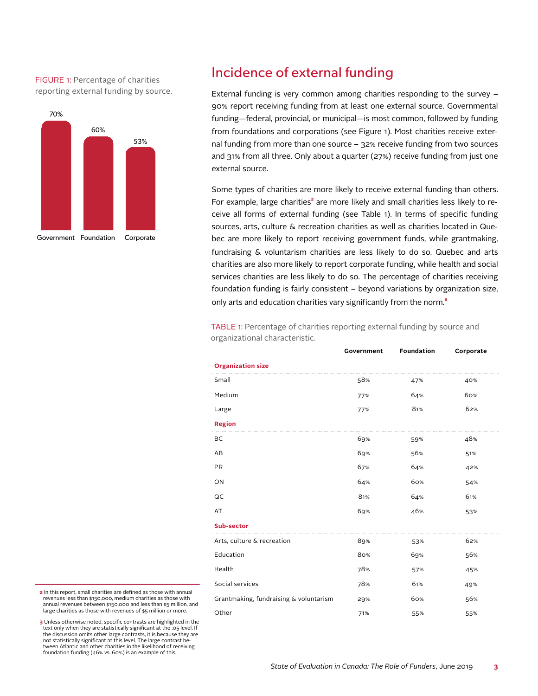FIGURE 1: Percentage of charities reporting external funding by source.



# Incidence of external funding

External funding is very common among charities responding to the survey – 90% report receiving funding from at least one external source. Governmental funding—federal, provincial, or municipal—is most common, followed by funding from foundations and corporations (see Figure 1). Most charities receive external funding from more than one source – 32% receive funding from two sources and 31% from all three. Only about a quarter (27%) receive funding from just one external source.

Some types of charities are more likely to receive external funding than others. For example, large charities**²** are more likely and small charities less likely to receive all forms of external funding (see Table 1). In terms of specific funding sources, arts, culture & recreation charities as well as charities located in Quebec are more likely to report receiving government funds, while grantmaking, fundraising & voluntarism charities are less likely to do so. Quebec and arts charities are also more likely to report corporate funding, while health and social services charities are less likely to do so. The percentage of charities receiving foundation funding is fairly consistent – beyond variations by organization size, only arts and education charities vary significantly from the norm.**³**

TABLE 1: Percentage of charities reporting external funding by source and organizational characteristic.

|                                        | Government | <b>Foundation</b> | Corporate |
|----------------------------------------|------------|-------------------|-----------|
| <b>Organization size</b>               |            |                   |           |
| Small                                  | 58%        | 47%               | 40%       |
| Medium                                 | 77%        | 64%               | 60%       |
| Large                                  | 77%        | 81%               | 62%       |
| <b>Region</b>                          |            |                   |           |
| BC                                     | 69%        | 59%               | 48%       |
| AB                                     | 69%        | 56%               | 51%       |
| PR                                     | 67%        | 64%               | 42%       |
| ON                                     | 64%        | 60%               | 54%       |
| QC                                     | 81%        | 64%               | 61%       |
| AT                                     | 69%        | 46%               | 53%       |
| <b>Sub-sector</b>                      |            |                   |           |
| Arts, culture & recreation             | 89%        | 53%               | 62%       |
| Education                              | 80%        | 69%               | 56%       |
| Health                                 | 78%        | 57%               | 45%       |
| Social services                        | 78%        | 61%               | 49%       |
| Grantmaking, fundraising & voluntarism | 29%        | 60%               | 56%       |
| Other                                  | 71%        | 55%               | 55%       |

**2** In this report, small charities are defined as those with annual revenues less than \$150,000, medium charities as those with annual revenues between \$150,000 and less than \$5 million, and large charities as those with revenues of \$5 million or more.

**3** Unless otherwise noted, specific contrasts are highlighted in the text only when they are statistically significant at the .05 level. If the discussion omits other large contrasts, it is because they are not statistically significant at this level. The large contrast between Atlantic and other charities in the likelihood of receiving foundation funding (46% vs. 60%) is an example of this.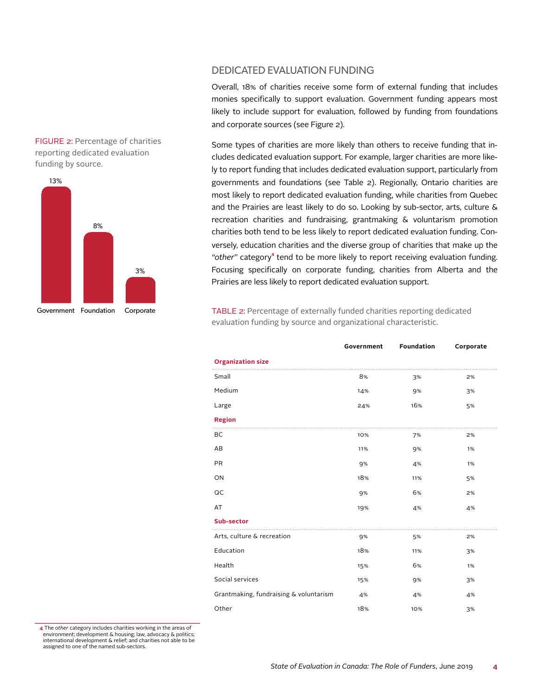



DEDICATED EVALUATION FUNDING

Overall, 18% of charities receive some form of external funding that includes monies specifically to support evaluation. Government funding appears most likely to include support for evaluation, followed by funding from foundations and corporate sources (see Figure 2).

Some types of charities are more likely than others to receive funding that includes dedicated evaluation support. For example, larger charities are more likely to report funding that includes dedicated evaluation support, particularly from governments and foundations (see Table 2). Regionally, Ontario charities are most likely to report dedicated evaluation funding, while charities from Quebec and the Prairies are least likely to do so. Looking by sub-sector, arts, culture & recreation charities and fundraising, grantmaking & voluntarism promotion charities both tend to be less likely to report dedicated evaluation funding. Conversely, education charities and the diverse group of charities that make up the *"other"* category**⁴** tend to be more likely to report receiving evaluation funding. Focusing specifically on corporate funding, charities from Alberta and the Prairies are less likely to report dedicated evaluation support.

TABLE 2: Percentage of externally funded charities reporting dedicated evaluation funding by source and organizational characteristic.

|                                        | Government | Foundation | Corporate |
|----------------------------------------|------------|------------|-----------|
| <b>Organization size</b>               |            |            |           |
| Small                                  | 8%         | 3%         | 2%        |
| Medium                                 | 14%        | 9%         | 3%        |
| Large                                  | 24%        | 16%        | 5%        |
| <b>Region</b>                          |            |            |           |
| BC                                     | 10%        | 7%         | 2%        |
| AB                                     | 11%        | 9%         | 1%        |
| <b>PR</b>                              | 9%         | 4%         | 1%        |
| ON                                     | 18%        | 11%        | 5%        |
| QC                                     | 9%         | 6%         | 2%        |
| AT                                     | 19%        | 4%         | 4%        |
| Sub-sector                             |            |            |           |
| Arts, culture & recreation             | 9%         | 5%         | 2%        |
| Education                              | 18%        | 11%        | 3%        |
| Health                                 | 15%        | 6%         | 1%        |
| Social services                        | 15%        | 9%         | 3%        |
| Grantmaking, fundraising & voluntarism | 4%         | 4%         | 4%        |
| Other                                  | 18%        | 10%        | 3%        |

**4** The o*ther* category includes charities working in the areas of environment; development & housing; law, advocacy & politics; international development & relief; and charities not able to be assigned to one of the named sub-sectors.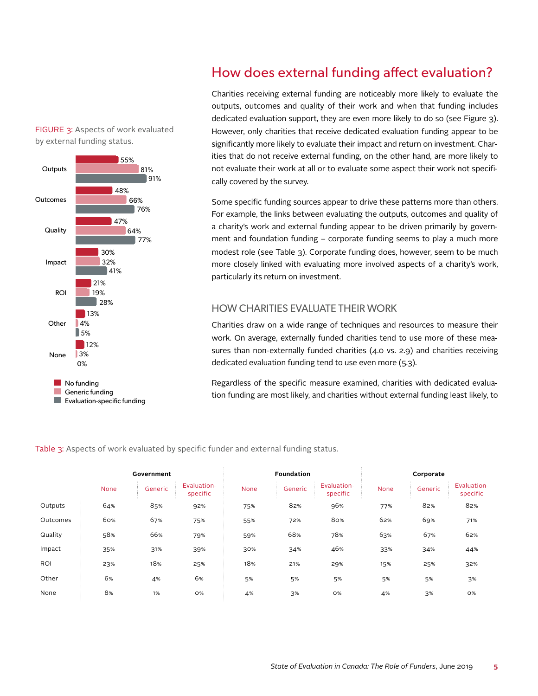### FIGURE 3: Aspects of work evaluated by external funding status.



# How does external funding affect evaluation?

Charities receiving external funding are noticeably more likely to evaluate the outputs, outcomes and quality of their work and when that funding includes dedicated evaluation support, they are even more likely to do so (see Figure 3). However, only charities that receive dedicated evaluation funding appear to be significantly more likely to evaluate their impact and return on investment. Charities that do not receive external funding, on the other hand, are more likely to not evaluate their work at all or to evaluate some aspect their work not specifically covered by the survey.

Some specific funding sources appear to drive these patterns more than others. For example, the links between evaluating the outputs, outcomes and quality of a charity's work and external funding appear to be driven primarily by government and foundation funding – corporate funding seems to play a much more modest role (see Table 3). Corporate funding does, however, seem to be much more closely linked with evaluating more involved aspects of a charity's work, particularly its return on investment.

# HOW CHARITIES EVALUATE THEIR WORK

Charities draw on a wide range of techniques and resources to measure their work. On average, externally funded charities tend to use more of these measures than non-externally funded charities (4.0 vs. 2.9) and charities receiving dedicated evaluation funding tend to use even more (5.3).

Regardless of the specific measure examined, charities with dedicated evaluation funding are most likely, and charities without external funding least likely, to

Table 3: Aspects of work evaluated by specific funder and external funding status.

|            |      | Government |                         |      | Foundation |                         |      | Corporate |                         |
|------------|------|------------|-------------------------|------|------------|-------------------------|------|-----------|-------------------------|
|            | None | Generic    | Evaluation-<br>specific | None | Generic    | Evaluation-<br>specific | None | Generic   | Evaluation-<br>specific |
| Outputs    | 64%  | 85%        | 92%                     | 75%  | 82%        | 96%                     | 77%  | 82%       | 82%                     |
| Outcomes   | 60%  | 67%        | 75%                     | 55%  | 72%        | 80%                     | 62%  | 69%       | 71%                     |
| Quality    | 58%  | 66%        | 79%                     | 59%  | 68%        | 78%                     | 63%  | 67%       | 62%                     |
| Impact     | 35%  | 31%        | 39%                     | 30%  | 34%        | 46%                     | 33%  | 34%       | 44%                     |
| <b>ROI</b> | 23%  | 18%        | 25%                     | 18%  | 21%        | 29%                     | 15%  | 25%       | 32%                     |
| Other      | 6%   | 4%         | 6%                      | 5%   | 5%         | 5%                      | 5%   | 5%        | 3%                      |
| None       | 8%   | 1%         | <b>O%</b>               | 4%   | 3%         | <b>O%</b>               | 4%   | 3%        | <b>O%</b>               |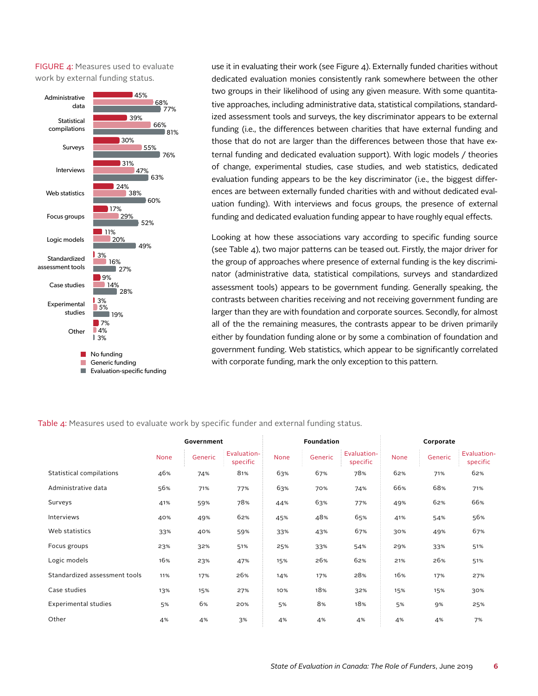FIGURE 4: Measures used to evaluate work by external funding status.



use it in evaluating their work (see Figure 4). Externally funded charities without dedicated evaluation monies consistently rank somewhere between the other two groups in their likelihood of using any given measure. With some quantitative approaches, including administrative data, statistical compilations, standardized assessment tools and surveys, the key discriminator appears to be external funding (i.e., the differences between charities that have external funding and those that do not are larger than the differences between those that have external funding and dedicated evaluation support). With logic models / theories of change, experimental studies, case studies, and web statistics, dedicated evaluation funding appears to be the key discriminator (i.e., the biggest differences are between externally funded charities with and without dedicated evaluation funding). With interviews and focus groups, the presence of external funding and dedicated evaluation funding appear to have roughly equal effects.

Looking at how these associations vary according to specific funding source (see Table 4), two major patterns can be teased out. Firstly, the major driver for the group of approaches where presence of external funding is the key discriminator (administrative data, statistical compilations, surveys and standardized assessment tools) appears to be government funding. Generally speaking, the contrasts between charities receiving and not receiving government funding are larger than they are with foundation and corporate sources. Secondly, for almost all of the the remaining measures, the contrasts appear to be driven primarily either by foundation funding alone or by some a combination of foundation and government funding. Web statistics, which appear to be significantly correlated with corporate funding, mark the only exception to this pattern.

|                               |             | Government |                         | <b>Foundation</b> |         | Corporate               |      |         |                         |
|-------------------------------|-------------|------------|-------------------------|-------------------|---------|-------------------------|------|---------|-------------------------|
|                               | <b>None</b> | Generic    | Evaluation-<br>specific | None              | Generic | Evaluation-<br>specific | None | Generic | Evaluation-<br>specific |
| Statistical compilations      | 46%         | 74%        | 81%                     | 63%               | 67%     | 78%                     | 62%  | 71%     | 62%                     |
| Administrative data           | 56%         | 71%        | 77%                     | 63%               | 70%     | 74%                     | 66%  | 68%     | 71%                     |
| Surveys                       | 41%         | 59%        | 78%                     | 44%               | 63%     | 77%                     | 49%  | 62%     | 66%                     |
| <b>Interviews</b>             | 40%         | 49%        | 62%                     | 45%               | 48%     | 65%                     | 41%  | 54%     | 56%                     |
| Web statistics                | 33%         | 40%        | 59%                     | 33%               | 43%     | 67%                     | 30%  | 49%     | 67%                     |
| Focus groups                  | 23%         | 32%        | 51%                     | 25%               | 33%     | 54%                     | 29%  | 33%     | 51%                     |
| Logic models                  | 16%         | 23%        | 47%                     | 15%               | 26%     | 62%                     | 21%  | 26%     | 51%                     |
| Standardized assessment tools | 11%         | 17%        | 26%                     | 14%               | 17%     | 28%                     | 16%  | 17%     | 27%                     |
| Case studies                  | 13%         | 15%        | 27%                     | 10%               | 18%     | 32%                     | 15%  | 15%     | 30%                     |
| Experimental studies          | 5%          | 6%         | 20%                     | 5%                | 8%      | 18%                     | 5%   | 9%      | 25%                     |
| Other                         | 4%          | 4%         | 3%                      | 4%                | 4%      | 4%                      | 4%   | 4%      | 7%                      |

#### Table 4: Measures used to evaluate work by specific funder and external funding status.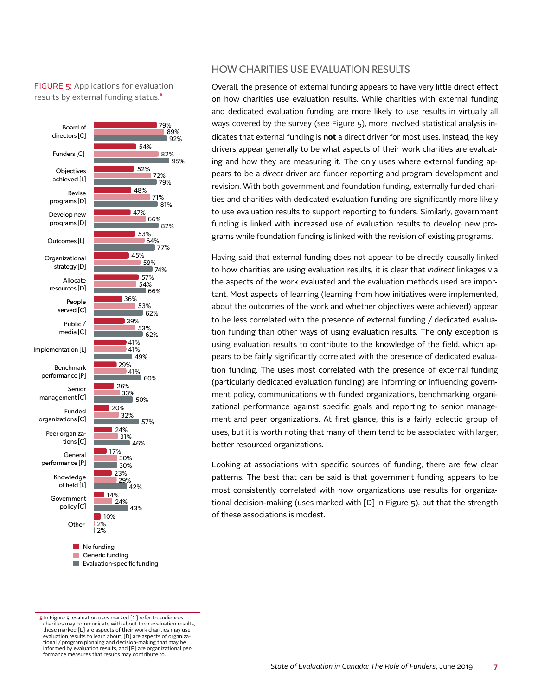FIGURE 5: Applications for evaluation results by external funding status.<sup>5</sup>



### HOW CHARITIES USE EVALUATION RESULTS

Overall, the presence of external funding appears to have very little direct effect on how charities use evaluation results. While charities with external funding and dedicated evaluation funding are more likely to use results in virtually all ways covered by the survey (see Figure 5), more involved statistical analysis indicates that external funding is **not** a direct driver for most uses. Instead, the key drivers appear generally to be what aspects of their work charities are evaluating and how they are measuring it. The only uses where external funding appears to be a *direct* driver are funder reporting and program development and revision. With both government and foundation funding, externally funded charities and charities with dedicated evaluation funding are significantly more likely to use evaluation results to support reporting to funders. Similarly, government funding is linked with increased use of evaluation results to develop new programs while foundation funding is linked with the revision of existing programs.

Having said that external funding does not appear to be directly causally linked to how charities are using evaluation results, it is clear that *indirect* linkages via the aspects of the work evaluated and the evaluation methods used are important. Most aspects of learning (learning from how initiatives were implemented, about the outcomes of the work and whether objectives were achieved) appear to be less correlated with the presence of external funding / dedicated evaluation funding than other ways of using evaluation results. The only exception is using evaluation results to contribute to the knowledge of the field, which appears to be fairly significantly correlated with the presence of dedicated evaluation funding. The uses most correlated with the presence of external funding (particularly dedicated evaluation funding) are informing or influencing government policy, communications with funded organizations, benchmarking organizational performance against specific goals and reporting to senior management and peer organizations. At first glance, this is a fairly eclectic group of uses, but it is worth noting that many of them tend to be associated with larger, better resourced organizations.

Looking at associations with specific sources of funding, there are few clear patterns. The best that can be said is that government funding appears to be most consistently correlated with how organizations use results for organizational decision-making (uses marked with [D] in Figure 5), but that the strength of these associations is modest.

**<sup>5</sup>** In Figure 5, evaluation uses marked [C] refer to audiences charities may communicate with about their evaluation results, those marked [L] are aspects of their work charities may use evaluation results to learn about, [D] are aspects of organizational / program planning and decision-making that may be informed by evaluation results, and [P] are organizational performance measures that results may contribute to.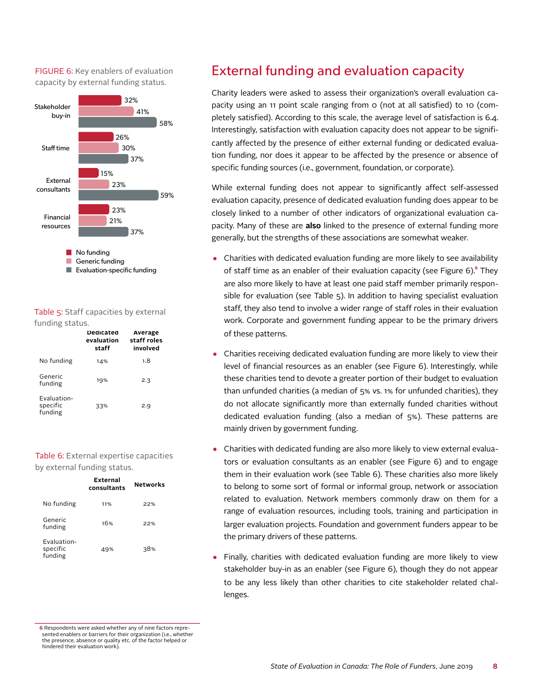FIGURE 6: Key enablers of evaluation capacity by external funding status.



#### Table 5: Staff capacities by external funding status.

|                                    | Dedicated<br>evaluation<br>staff | Average<br>staff roles<br>involved |
|------------------------------------|----------------------------------|------------------------------------|
| No funding                         | 14%                              | 1.8                                |
| Generic<br>funding                 | 19%                              | 2.3                                |
| Evaluation-<br>specific<br>funding | 33%                              | 2.9                                |

#### Table 6: External expertise capacities by external funding status.

|                                    | External<br>consultants | <b>Networks</b> |
|------------------------------------|-------------------------|-----------------|
| No funding                         | 11%                     | 22%             |
| Generic<br>funding                 | 16%                     | 22%             |
| Evaluation-<br>specific<br>funding | 49%                     | 38%             |

# External funding and evaluation capacity

Charity leaders were asked to assess their organization's overall evaluation capacity using an 11 point scale ranging from 0 (not at all satisfied) to 10 (completely satisfied). According to this scale, the average level of satisfaction is 6.4. Interestingly, satisfaction with evaluation capacity does not appear to be significantly affected by the presence of either external funding or dedicated evaluation funding, nor does it appear to be affected by the presence or absence of specific funding sources (i.e., government, foundation, or corporate).

While external funding does not appear to significantly affect self-assessed evaluation capacity, presence of dedicated evaluation funding does appear to be closely linked to a number of other indicators of organizational evaluation capacity. Many of these are **also** linked to the presence of external funding more generally, but the strengths of these associations are somewhat weaker.

- Charities with dedicated evaluation funding are more likely to see availability of staff time as an enabler of their evaluation capacity (see Figure 6).**⁶** They are also more likely to have at least one paid staff member primarily responsible for evaluation (see Table 5). In addition to having specialist evaluation staff, they also tend to involve a wider range of staff roles in their evaluation work. Corporate and government funding appear to be the primary drivers of these patterns.
- Charities receiving dedicated evaluation funding are more likely to view their level of financial resources as an enabler (see Figure 6). Interestingly, while these charities tend to devote a greater portion of their budget to evaluation than unfunded charities (a median of 5% vs. 1% for unfunded charities), they do not allocate significantly more than externally funded charities without dedicated evaluation funding (also a median of 5%). These patterns are mainly driven by government funding.
- Charities with dedicated funding are also more likely to view external evaluators or evaluation consultants as an enabler (see Figure 6) and to engage them in their evaluation work (see Table 6). These charities also more likely to belong to some sort of formal or informal group, network or association related to evaluation. Network members commonly draw on them for a range of evaluation resources, including tools, training and participation in larger evaluation projects. Foundation and government funders appear to be the primary drivers of these patterns.
- Finally, charities with dedicated evaluation funding are more likely to view stakeholder buy-in as an enabler (see Figure 6), though they do not appear to be any less likely than other charities to cite stakeholder related challenges.

**6** Respondents were asked whether any of nine factors represented enablers or barriers for their organization (i.e., whether the presence, absence or quality etc. of the factor helped or hindered their evaluation work).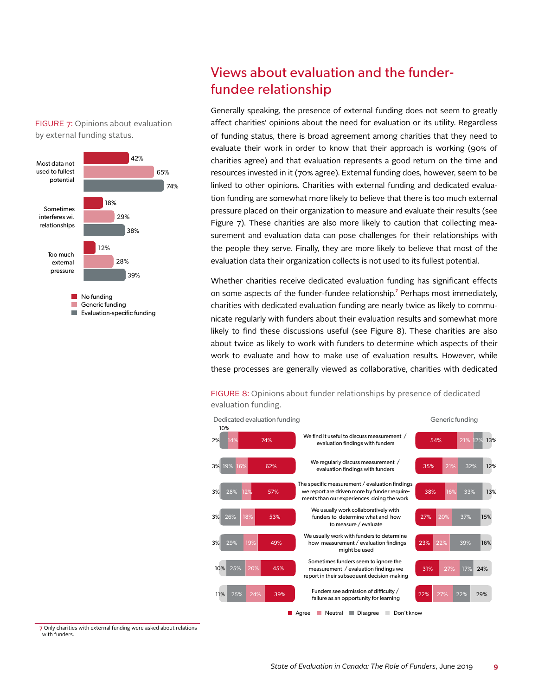

FIGURE 7: Opinions about evaluation

by external funding status.

**Evaluation-specific funding** 

# Views about evaluation and the funderfundee relationship

Generally speaking, the presence of external funding does not seem to greatly affect charities' opinions about the need for evaluation or its utility. Regardless of funding status, there is broad agreement among charities that they need to evaluate their work in order to know that their approach is working (90% of charities agree) and that evaluation represents a good return on the time and resources invested in it (70% agree). External funding does, however, seem to be linked to other opinions. Charities with external funding and dedicated evaluation funding are somewhat more likely to believe that there is too much external pressure placed on their organization to measure and evaluate their results (see Figure 7). These charities are also more likely to caution that collecting measurement and evaluation data can pose challenges for their relationships with the people they serve. Finally, they are more likely to believe that most of the evaluation data their organization collects is not used to its fullest potential.

Whether charities receive dedicated evaluation funding has significant effects on some aspects of the funder-fundee relationship.<sup>7</sup> Perhaps most immediately, charities with dedicated evaluation funding are nearly twice as likely to communicate regularly with funders about their evaluation results and somewhat more likely to find these discussions useful (see Figure 8). These charities are also about twice as likely to work with funders to determine which aspects of their work to evaluate and how to make use of evaluation results. However, while these processes are generally viewed as collaborative, charities with dedicated

FIGURE 8: Opinions about funder relationships by presence of dedicated evaluation funding.



**7** Only charities with external funding were asked about relations with funders.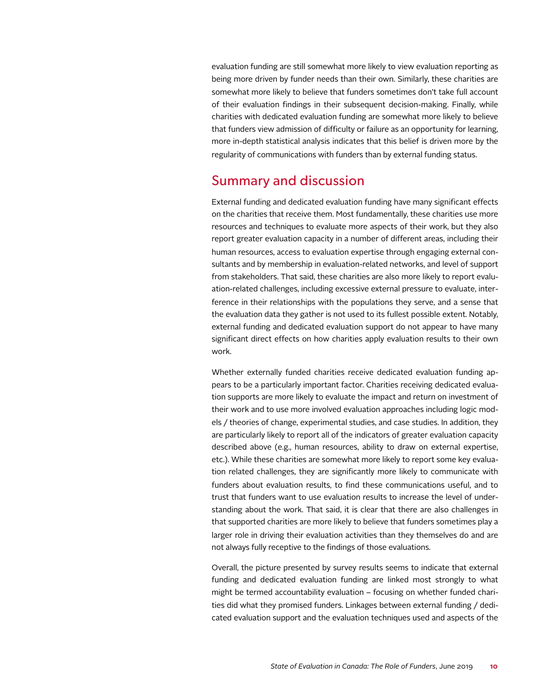evaluation funding are still somewhat more likely to view evaluation reporting as being more driven by funder needs than their own. Similarly, these charities are somewhat more likely to believe that funders sometimes don't take full account of their evaluation findings in their subsequent decision-making. Finally, while charities with dedicated evaluation funding are somewhat more likely to believe that funders view admission of difficulty or failure as an opportunity for learning, more in-depth statistical analysis indicates that this belief is driven more by the regularity of communications with funders than by external funding status.

# Summary and discussion

External funding and dedicated evaluation funding have many significant effects on the charities that receive them. Most fundamentally, these charities use more resources and techniques to evaluate more aspects of their work, but they also report greater evaluation capacity in a number of different areas, including their human resources, access to evaluation expertise through engaging external consultants and by membership in evaluation-related networks, and level of support from stakeholders. That said, these charities are also more likely to report evaluation-related challenges, including excessive external pressure to evaluate, interference in their relationships with the populations they serve, and a sense that the evaluation data they gather is not used to its fullest possible extent. Notably, external funding and dedicated evaluation support do not appear to have many significant direct effects on how charities apply evaluation results to their own work.

Whether externally funded charities receive dedicated evaluation funding appears to be a particularly important factor. Charities receiving dedicated evaluation supports are more likely to evaluate the impact and return on investment of their work and to use more involved evaluation approaches including logic models / theories of change, experimental studies, and case studies. In addition, they are particularly likely to report all of the indicators of greater evaluation capacity described above (e.g., human resources, ability to draw on external expertise, etc.). While these charities are somewhat more likely to report some key evaluation related challenges, they are significantly more likely to communicate with funders about evaluation results, to find these communications useful, and to trust that funders want to use evaluation results to increase the level of understanding about the work. That said, it is clear that there are also challenges in that supported charities are more likely to believe that funders sometimes play a larger role in driving their evaluation activities than they themselves do and are not always fully receptive to the findings of those evaluations.

Overall, the picture presented by survey results seems to indicate that external funding and dedicated evaluation funding are linked most strongly to what might be termed accountability evaluation – focusing on whether funded charities did what they promised funders. Linkages between external funding / dedicated evaluation support and the evaluation techniques used and aspects of the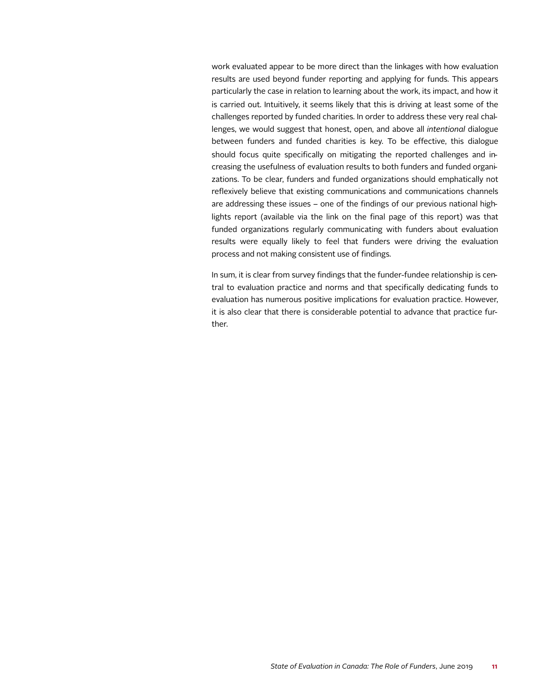work evaluated appear to be more direct than the linkages with how evaluation results are used beyond funder reporting and applying for funds. This appears particularly the case in relation to learning about the work, its impact, and how it is carried out. Intuitively, it seems likely that this is driving at least some of the challenges reported by funded charities. In order to address these very real challenges, we would suggest that honest, open, and above all *intentional* dialogue between funders and funded charities is key. To be effective, this dialogue should focus quite specifically on mitigating the reported challenges and increasing the usefulness of evaluation results to both funders and funded organizations. To be clear, funders and funded organizations should emphatically not reflexively believe that existing communications and communications channels are addressing these issues – one of the findings of our previous national highlights report (available via the link on the final page of this report) was that funded organizations regularly communicating with funders about evaluation results were equally likely to feel that funders were driving the evaluation process and not making consistent use of findings.

In sum, it is clear from survey findings that the funder-fundee relationship is central to evaluation practice and norms and that specifically dedicating funds to evaluation has numerous positive implications for evaluation practice. However, it is also clear that there is considerable potential to advance that practice further.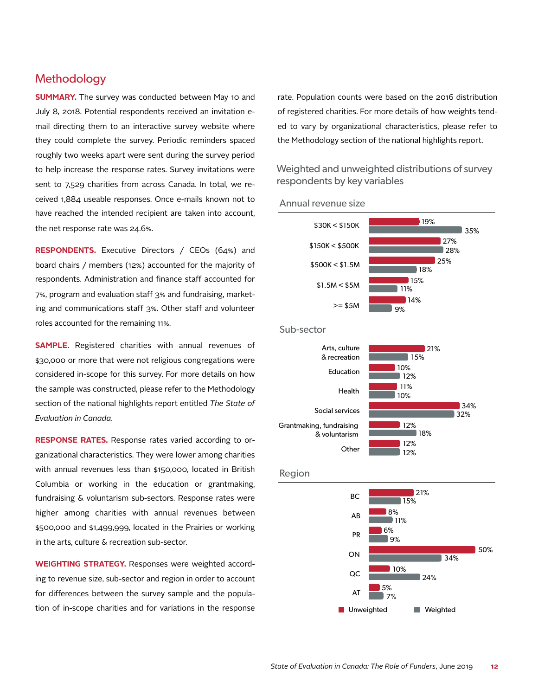# **Methodology**

**SUMMARY.** The survey was conducted between May 10 and July 8, 2018. Potential respondents received an invitation email directing them to an interactive survey website where they could complete the survey. Periodic reminders spaced roughly two weeks apart were sent during the survey period to help increase the response rates. Survey invitations were sent to 7,529 charities from across Canada. In total, we received 1,884 useable responses. Once e-mails known not to have reached the intended recipient are taken into account, the net response rate was 24.6%.

**RESPONDENTS.** Executive Directors / CEOs (64%) and board chairs / members (12%) accounted for the majority of respondents. Administration and finance staff accounted for 7%, program and evaluation staff 3% and fundraising, marketing and communications staff 3%. Other staff and volunteer roles accounted for the remaining 11%.

**SAMPLE**. Registered charities with annual revenues of \$30,000 or more that were not religious congregations were considered in-scope for this survey. For more details on how the sample was constructed, please refer to the Methodology section of the national highlights report entitled *The State of Evaluation in Canada*.

**RESPONSE RATES.** Response rates varied according to organizational characteristics. They were lower among charities with annual revenues less than \$150,000, located in British Columbia or working in the education or grantmaking, fundraising & voluntarism sub-sectors. Response rates were higher among charities with annual revenues between \$500,000 and \$1,499,999, located in the Prairies or working in the arts, culture & recreation sub-sector.

**WEIGHTING STRATEGY.** Responses were weighted according to revenue size, sub-sector and region in order to account for differences between the survey sample and the population of in-scope charities and for variations in the response

rate. Population counts were based on the 2016 distribution of registered charities. For more details of how weights tended to vary by organizational characteristics, please refer to the Methodology section of the national highlights report.

Weighted and unweighted distributions of survey respondents by key variables



#### Annual revenue size